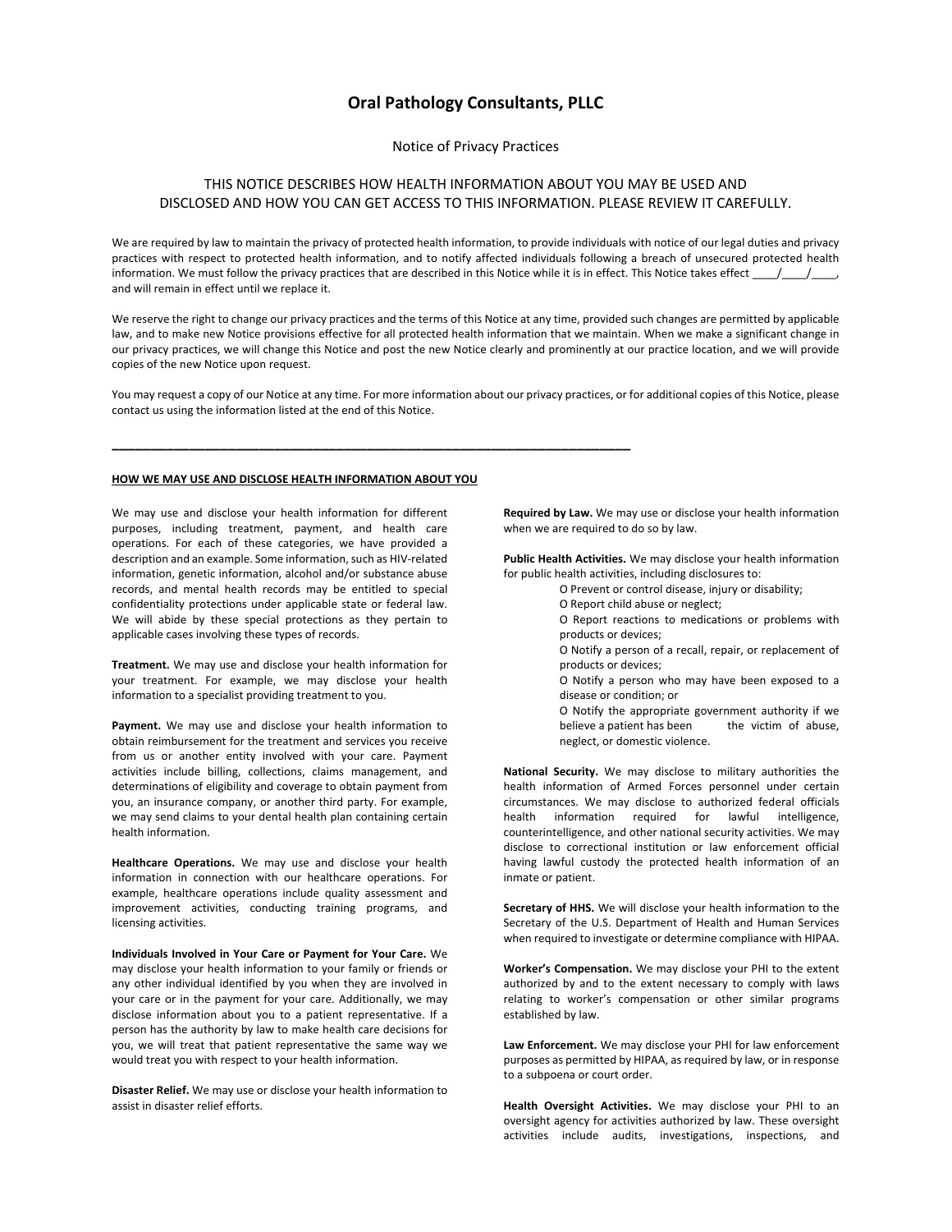# **Oral Pathology Consultants, PLLC**

Notice of Privacy Practices

## THIS NOTICE DESCRIBES HOW HEALTH INFORMATION ABOUT YOU MAY BE USED AND DISCLOSED AND HOW YOU CAN GET ACCESS TO THIS INFORMATION. PLEASE REVIEW IT CAREFULLY.

We are required by law to maintain the privacy of protected health information, to provide individuals with notice of our legal duties and privacy practices with respect to protected health information, and to notify affected individuals following a breach of unsecured protected health information. We must follow the privacy practices that are described in this Notice while it is in effect. This Notice takes effect \_\_\_\_/\_\_\_\_/\_\_\_\_, and will remain in effect until we replace it.

We reserve the right to change our privacy practices and the terms of this Notice at any time, provided such changes are permitted by applicable law, and to make new Notice provisions effective for all protected health information that we maintain. When we make a significant change in our privacy practices, we will change this Notice and post the new Notice clearly and prominently at our practice location, and we will provide copies of the new Notice upon request.

You may request a copy of our Notice at any time. For more information about our privacy practices, or for additional copies of this Notice, please contact us using the information listed at the end of this Notice.

## **HOW WE MAY USE AND DISCLOSE HEALTH INFORMATION ABOUT YOU**

**\_\_\_\_\_\_\_\_\_\_\_\_\_\_\_\_\_\_\_\_\_\_\_\_\_\_\_\_\_\_\_\_\_\_\_\_\_\_\_\_\_\_\_\_\_\_\_\_\_\_\_\_\_\_\_\_\_\_\_\_\_\_\_\_\_\_\_**

We may use and disclose your health information for different purposes, including treatment, payment, and health care operations. For each of these categories, we have provided a description and an example. Some information, such as HIV-related information, genetic information, alcohol and/or substance abuse records, and mental health records may be entitled to special confidentiality protections under applicable state or federal law. We will abide by these special protections as they pertain to applicable cases involving these types of records.

**Treatment.** We may use and disclose your health information for your treatment. For example, we may disclose your health information to a specialist providing treatment to you.

**Payment.** We may use and disclose your health information to obtain reimbursement for the treatment and services you receive from us or another entity involved with your care. Payment activities include billing, collections, claims management, and determinations of eligibility and coverage to obtain payment from you, an insurance company, or another third party. For example, we may send claims to your dental health plan containing certain health information.

**Healthcare Operations.** We may use and disclose your health information in connection with our healthcare operations. For example, healthcare operations include quality assessment and improvement activities, conducting training programs, and licensing activities.

**Individuals Involved in Your Care or Payment for Your Care.** We may disclose your health information to your family or friends or any other individual identified by you when they are involved in your care or in the payment for your care. Additionally, we may disclose information about you to a patient representative. If a person has the authority by law to make health care decisions for you, we will treat that patient representative the same way we would treat you with respect to your health information.

**Disaster Relief.** We may use or disclose your health information to assist in disaster relief efforts.

**Required by Law.** We may use or disclose your health information when we are required to do so by law.

**Public Health Activities.** We may disclose your health information for public health activities, including disclosures to:

- O Prevent or control disease, injury or disability;
- O Report child abuse or neglect;
- O Report reactions to medications or problems with products or devices;
- O Notify a person of a recall, repair, or replacement of products or devices;
- O Notify a person who may have been exposed to a disease or condition; or
- O Notify the appropriate government authority if we believe a patient has been the victim of abuse, neglect, or domestic violence.

**National Security.** We may disclose to military authorities the health information of Armed Forces personnel under certain circumstances. We may disclose to authorized federal officials health information required for lawful intelligence, counterintelligence, and other national security activities. We may disclose to correctional institution or law enforcement official having lawful custody the protected health information of an inmate or patient.

**Secretary of HHS.** We will disclose your health information to the Secretary of the U.S. Department of Health and Human Services when required to investigate or determine compliance with HIPAA.

**Worker's Compensation.** We may disclose your PHI to the extent authorized by and to the extent necessary to comply with laws relating to worker's compensation or other similar programs established by law.

**Law Enforcement.** We may disclose your PHI for law enforcement purposes as permitted by HIPAA, as required by law, or in response to a subpoena or court order.

**Health Oversight Activities.** We may disclose your PHI to an oversight agency for activities authorized by law. These oversight activities include audits, investigations, inspections, and